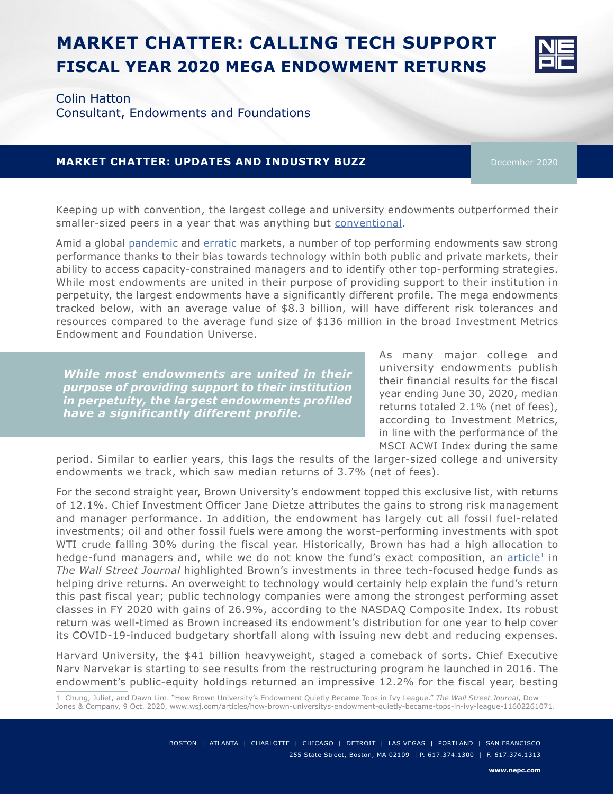# **MARKET CHATTER: CALLING TECH SUPPORT FISCAL YEAR 2020 MEGA ENDOWMENT RETURNS**



Colin Hatton

Consultant, Endowments and Foundations

## **MARKET CHATTER: UPDATES AND INDUSTRY BUZZ** December 2020

Keeping up with convention, the largest college and university endowments outperformed their smaller-sized peers in a year that was anything but [conventional](https://www.nepc.com/insights/university-peer-roundtables).

Amid a global [pandemic](https://info.nepc.com/covid-19) and [erratic](https://www.nepc.com/insights/acting-amid-uncertainty) markets, a number of top performing endowments saw strong performance thanks to their bias towards technology within both public and private markets, their ability to access capacity-constrained managers and to identify other top-performing strategies. While most endowments are united in their purpose of providing support to their institution in perpetuity, the largest endowments have a significantly different profile. The mega endowments tracked below, with an average value of \$8.3 billion, will have different risk tolerances and resources compared to the average fund size of \$136 million in the broad Investment Metrics Endowment and Foundation Universe.

*While most endowments are united in their purpose of providing support to their institution in perpetuity, the largest endowments profiled have a significantly different profile.* 

As many major college and university endowments publish their financial results for the fiscal year ending June 30, 2020, median returns totaled 2.1% (net of fees), according to Investment Metrics, in line with the performance of the MSCI ACWI Index during the same

period. Similar to earlier years, this lags the results of the larger-sized college and university endowments we track, which saw median returns of 3.7% (net of fees).

For the second straight year, Brown University's endowment topped this exclusive list, with returns of 12.1%. Chief Investment Officer Jane Dietze attributes the gains to strong risk management and manager performance. In addition, the endowment has largely cut all fossil fuel-related investments; oil and other fossil fuels were among the worst-performing investments with spot WTI crude falling 30% during the fiscal year. Historically, Brown has had a high allocation to hedge-fund managers and, while we do not know the fund's exact composition, an  $article<sup>1</sup>$  $article<sup>1</sup>$  in *The Wall Street Journal* highlighted Brown's investments in three tech-focused hedge funds as helping drive returns. An overweight to technology would certainly help explain the fund's return this past fiscal year; public technology companies were among the strongest performing asset classes in FY 2020 with gains of 26.9%, according to the NASDAQ Composite Index. Its robust return was well-timed as Brown increased its endowment's distribution for one year to help cover its COVID-19-induced budgetary shortfall along with issuing new debt and reducing expenses.

Harvard University, the \$41 billion heavyweight, staged a comeback of sorts. Chief Executive Narv Narvekar is starting to see results from the restructuring program he launched in 2016. The endowment's public-equity holdings returned an impressive 12.2% for the fiscal year, besting

1 Chung, Juliet, and Dawn Lim. "How Brown University's Endowment Quietly Became Tops in Ivy League." *The Wall Street Journal*, Dow Jones & Company, 9 Oct. 2020, www.wsj.com/articles/how-brown-universitys-endowment-quietly-became-tops-in-ivy-league-11602261071.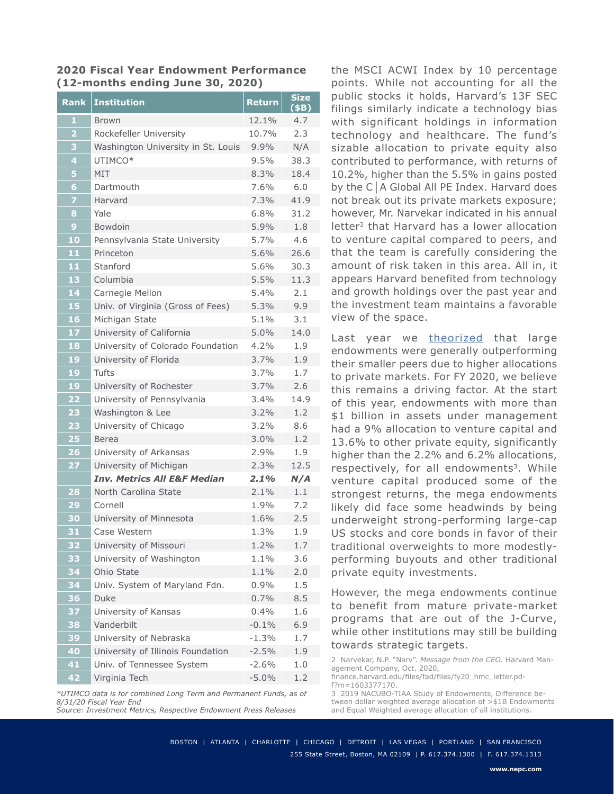#### **2020 Fiscal Year Endowment Performance (12-months ending June 30, 2020)**

| <b>Rank</b>             | <b>Institution</b>                     | Return  | <b>Size</b><br>(\$B) |
|-------------------------|----------------------------------------|---------|----------------------|
| $\mathbf{1}$            | <b>Brown</b>                           | 12.1%   | 4.7                  |
| $\overline{\mathbf{2}}$ | Rockefeller University                 | 10.7%   | 2.3                  |
| 3                       | Washington University in St. Louis     | 9.9%    | N/A                  |
| 4                       | UTIMCO*                                | $9.5\%$ | 38.3                 |
| 5                       | MIT                                    | $8.3\%$ | 18.4                 |
| $6\phantom{1}6$         | Dartmouth                              | 7.6%    | 6.0                  |
| 7                       | Harvard                                | 7.3%    | 41.9                 |
| 8                       | Yale                                   | 6.8%    | 31.2                 |
| $\overline{9}$          | <b>Bowdoin</b>                         | 5.9%    | 1.8                  |
| 10                      | Pennsylvania State University          | 5.7%    | 4.6                  |
| 11                      | Princeton                              | 5.6%    | 26.6                 |
| 11                      | Stanford                               | $5.6\%$ | 30.3                 |
| 13                      | Columbia                               | 5.5%    | 11.3                 |
| 14                      | Carnegie Mellon                        | $5.4\%$ | 2.1                  |
| 15                      | Univ. of Virginia (Gross of Fees)      | 5.3%    | 9.9                  |
| 16                      | Michigan State                         | 5.1%    | 3.1                  |
| 17                      | University of California               | 5.0%    | 14.0                 |
| 18                      | University of Colorado Foundation      | 4.2%    | 1.9                  |
| 19                      | University of Florida                  | 3.7%    | 1.9                  |
| 19                      | Tufts                                  | 3.7%    | 1.7                  |
| 19                      | University of Rochester                | 3.7%    | 2.6                  |
| 22                      | University of Pennsylvania             | $3.4\%$ | 14.9                 |
| 23                      | Washington & Lee                       | $3.2\%$ | 1.2                  |
| 23                      | University of Chicago                  | $3.2\%$ | 8.6                  |
| 25                      | Berea                                  | $3.0\%$ | 1.2                  |
| $\overline{26}$         | University of Arkansas                 | 2.9%    | 1.9                  |
| 27                      | University of Michigan                 | 2.3%    | 12.5                 |
|                         | <b>Inv. Metrics All E&amp;F Median</b> | $2.1\%$ | N/A                  |
| $\overline{28}$         | North Carolina State                   | 2.1%    | 1.1                  |
| 29                      | Cornell                                | 1.9%    | 7.2                  |
| 30                      | University of Minnesota                | 1.6%    | 2.5                  |
| 31                      | Case Western                           | 1.3%    | 1.9                  |
| 32                      | University of Missouri                 | 1.2%    | 1.7                  |
| 33                      | University of Washington               | 1.1%    | 3.6                  |
| 34                      | Ohio State                             | 1.1%    | 2.0                  |
| 34                      | Univ. System of Maryland Fdn.          | 0.9%    | 1.5                  |
| 36                      | Duke                                   | 0.7%    | 8.5                  |
| 37                      | University of Kansas                   | 0.4%    | 1.6                  |
| 38                      | Vanderbilt                             | $-0.1%$ | 6.9                  |
| 39                      | University of Nebraska                 | $-1.3%$ | 1.7                  |
| 40                      | University of Illinois Foundation      | $-2.5%$ | 1.9                  |
| 41                      | Univ. of Tennessee System              | $-2.6%$ | 1.0                  |
| 42                      | Virginia Tech                          | $-5.0%$ | 1.2                  |

*<sup>\*</sup>UTIMCO data is for combined Long Term and Permanent Funds, as of 8/31/20 Fiscal Year End*

*Source: Investment Metrics, Respective Endowment Press Releases*

the MSCI ACWI Index by 10 percentage points. While not accounting for all the public stocks it holds, Harvard's 13F SEC filings similarly indicate a technology bias with significant holdings in information technology and healthcare. The fund's sizable allocation to private equity also contributed to performance, with returns of 10.2%, higher than the 5.5% in gains posted by the C│A Global All PE Index. Harvard does not break out its private markets exposure; however, Mr. Narvekar indicated in his annual letter<sup>2</sup> that Harvard has a lower allocation to venture capital compared to peers, and that the team is carefully considering the amount of risk taken in this area. All in, it appears Harvard benefited from technology and growth holdings over the past year and the investment team maintains a favorable view of the space.

Last year we [theorized](https://www.nepc.com/insights/the-privates-drive-it-fiscal-year-2019-mega-endowment-returns) that large endowments were generally outperforming their smaller peers due to higher allocations to private markets. For FY 2020, we believe this remains a driving factor. At the start of this year, endowments with more than \$1 billion in assets under management had a 9% allocation to venture capital and 13.6% to other private equity, significantly higher than the 2.2% and 6.2% allocations, respectively, for all endowments<sup>3</sup>. While venture capital produced some of the strongest returns, the mega endowments likely did face some headwinds by being underweight strong-performing large-cap US stocks and core bonds in favor of their traditional overweights to more modestlyperforming buyouts and other traditional private equity investments.

However, the mega endowments continue to benefit from mature private-market programs that are out of the J-Curve, while other institutions may still be building towards strategic targets.

2 Narvekar, N.P. "Narv". *Message from the CEO.* Harvard Management Company, Oct. 2020, finance.harvard.edu/files/fad/files/fy20\_hmc\_letter.pdf?m=1603377170. 3 2019 NACUBO-TIAA Study of Endowments, Difference be-

tween dollar weighted average allocation of >\$1B Endowments and Equal Weighted average allocation of all institutions.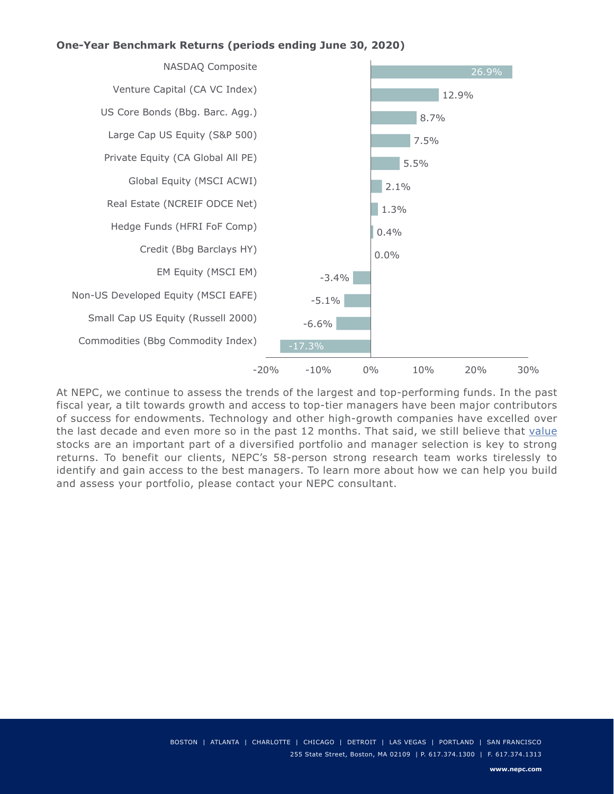### **One-Year Benchmark Returns (periods ending June 30, 2020)**



At NEPC, we continue to assess the trends of the largest and top-performing funds. In the past fiscal year, a tilt towards growth and access to top-tier managers have been major contributors of success for endowments. Technology and other high-growth companies have excelled over the last decade and even more so in the past 12 months. That said, we still believe that [value](https://www.nepc.com/insights/taking-stock-the-faceoff-between-value-and-growth-part-3-too-early-to-call-it) stocks are an important part of a diversified portfolio and manager selection is key to strong returns. To benefit our clients, NEPC's 58-person strong research team works tirelessly to identify and gain access to the best managers. To learn more about how we can help you build and assess your portfolio, please contact your NEPC consultant.

> BOSTON | ATLANTA | CHARLOTTE | CHICAGO | DETROIT | LAS VEGAS | PORTLAND | SAN FRANCISCO 255 State Street, Boston, MA 02109 | P. 617.374.1300 | F. 617.374.1313